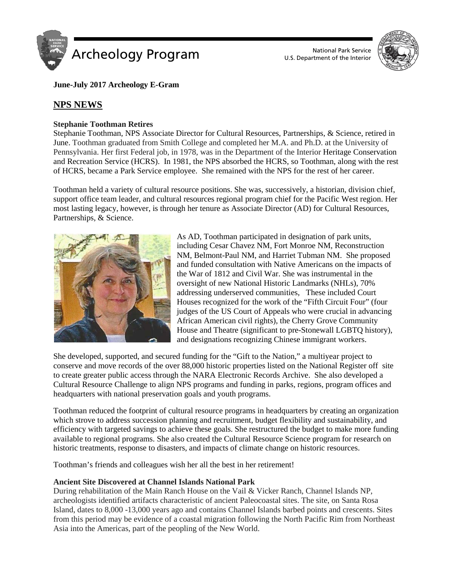

U.S. Department of the Interior



**June-July 2017 Archeology E-Gram**

# **NPS NEWS**

## **Stephanie Toothman Retires**

Stephanie Toothman, NPS Associate Director for Cultural Resources, Partnerships, & Science, retired in June. Toothman graduated from Smith College and completed her M.A. and Ph.D. at the University of Pennsylvania. Her first Federal job, in 1978, was in the Department of the Interior Heritage Conservation and Recreation Service (HCRS). In 1981, the NPS absorbed the HCRS, so Toothman, along with the rest of HCRS, became a Park Service employee. She remained with the NPS for the rest of her career.

Toothman held a variety of cultural resource positions. She was, successively, a historian, division chief, support office team leader, and cultural resources regional program chief for the Pacific West region. Her most lasting legacy, however, is through her tenure as Associate Director (AD) for Cultural Resources, Partnerships, & Science.



As AD, Toothman participated in designation of park units, including Cesar Chavez NM, Fort Monroe NM, Reconstruction NM, Belmont-Paul NM, and Harriet Tubman NM. She proposed and funded consultation with Native Americans on the impacts of the War of 1812 and Civil War. She was instrumental in the oversight of new National Historic Landmarks (NHLs), 70% addressing underserved communities, These included Court Houses recognized for the work of the "Fifth Circuit Four" (four judges of the US Court of Appeals who were crucial in advancing African American civil rights), the Cherry Grove Community House and Theatre (significant to pre-Stonewall LGBTQ history), and designations recognizing Chinese immigrant workers.

She developed, supported, and secured funding for the "Gift to the Nation," a multiyear project to conserve and move records of the over 88,000 historic properties listed on the National Register off site to create greater public access through the NARA Electronic Records Archive. She also developed a Cultural Resource Challenge to align NPS programs and funding in parks, regions, program offices and headquarters with national preservation goals and youth programs.

Toothman reduced the footprint of cultural resource programs in headquarters by creating an organization which strove to address succession planning and recruitment, budget flexibility and sustainability, and efficiency with targeted savings to achieve these goals. She restructured the budget to make more funding available to regional programs. She also created the Cultural Resource Science program for research on historic treatments, response to disasters, and impacts of climate change on historic resources.

Toothman's friends and colleagues wish her all the best in her retirement!

## **Ancient Site Discovered at Channel Islands National Park**

During rehabilitation of the Main Ranch House on the Vail & Vicker Ranch, Channel Islands NP, archeologists identified artifacts characteristic of ancient Paleocoastal sites. The site, on Santa Rosa Island, dates to 8,000 -13,000 years ago and contains Channel Islands barbed points and crescents. Sites from this period may be evidence of a coastal migration following the North Pacific Rim from Northeast Asia into the Americas, part of the peopling of the New World.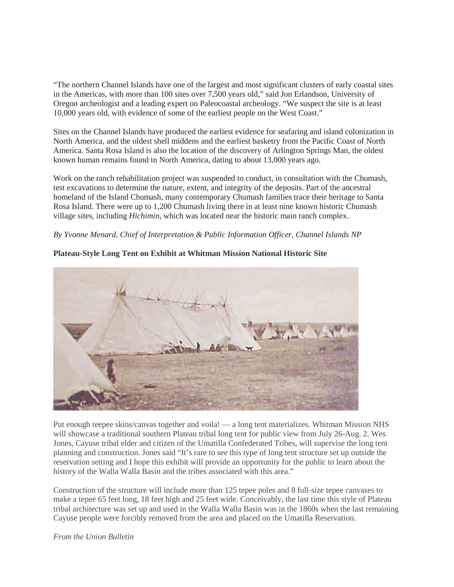"The northern Channel Islands have one of the largest and most significant clusters of early coastal sites in the Americas, with more than 100 sites over 7,500 years old," said Jon Erlandson, University of Oregon archeologist and a leading expert on Paleocoastal archeology. "We suspect the site is at least 10,000 years old, with evidence of some of the earliest people on the West Coast."

Sites on the Channel Islands have produced the earliest evidence for seafaring and island colonization in North America, and the oldest shell middens and the earliest basketry from the Pacific Coast of North America. Santa Rosa Island is also the location of the discovery of Arlington Springs Man, the oldest known human remains found in North America, dating to about 13,000 years ago.

Work on the ranch rehabilitation project was suspended to conduct, in consultation with the Chumash, test excavations to determine the nature, extent, and integrity of the deposits. Part of the ancestral homeland of the Island Chumash, many contemporary Chumash families trace their heritage to Santa Rosa Island. There were up to 1,200 Chumash living there in at least nine known historic Chumash village sites, including *Hichimin*, which was located near the historic main ranch complex.

## *By Yvonne Menard, Chief of Interpretation & Public Information Officer, Channel Islands NP*



**Plateau-Style Long Tent on Exhibit at Whitman Mission National Historic Site**

Put enough teepee skins/canvas together and voila! — a long tent materializes. Whitman Mission NHS will showcase a traditional southern Plateau tribal long tent for public view from July 26-Aug. 2. Wes Jones, Cayuse tribal elder and citizen of the Umatilla Confederated Tribes, will supervise the long tent planning and construction. Jones said "It's rare to see this type of long tent structure set up outside the reservation setting and I hope this exhibit will provide an opportunity for the public to learn about the history of the Walla Walla Basin and the tribes associated with this area."

Construction of the structure will include more than 125 tepee poles and 8 full-size tepee canvases to make a tepee 65 feet long, 18 feet high and 25 feet wide. Conceivably, the last time this style of Plateau tribal architecture was set up and used in the Walla Walla Basin was in the 1860s when the last remaining Cayuse people were forcibly removed from the area and placed on the Umatilla Reservation.

*From the Union Bulletin*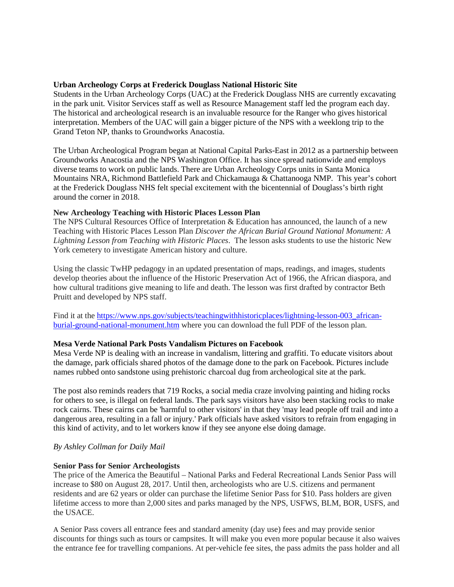## **Urban Archeology Corps at Frederick Douglass National Historic Site**

Students in the Urban Archeology Corps (UAC) at the Frederick Douglass NHS are currently excavating in the park unit. Visitor Services staff as well as Resource Management staff led the program each day. The historical and archeological research is an invaluable resource for the Ranger who gives historical interpretation. Members of the UAC will gain a bigger picture of the NPS with a weeklong trip to the Grand Teton NP, thanks to Groundworks Anacostia.

The Urban Archeological Program began at National Capital Parks-East in 2012 as a partnership between Groundworks Anacostia and the NPS Washington Office. It has since spread nationwide and employs diverse teams to work on public lands. There are Urban Archeology Corps units in Santa Monica Mountains NRA, Richmond Battlefield Park and Chickamauga & Chattanooga NMP. This year's cohort at the Frederick Douglass NHS felt special excitement with the bicentennial of Douglass's birth right around the corner in 2018.

## **New Archeology Teaching with Historic Places Lesson Plan**

The NPS Cultural Resources Office of Interpretation & Education has announced, the launch of a new Teaching with Historic Places Lesson Plan *Discover the African Burial Ground National Monument: A Lightning Lesson from Teaching with Historic Places*. The lesson asks students to use the historic New York cemetery to investigate American history and culture.

Using the classic TwHP pedagogy in an updated presentation of maps, readings, and images, students develop theories about the influence of the Historic Preservation Act of 1966, the African diaspora, and how cultural traditions give meaning to life and death. The lesson was first drafted by contractor Beth Pruitt and developed by NPS staff.

Find it at the [https://www.nps.gov/subjects/teachingwithhistoricplaces/lightning-lesson-003\\_african](https://www.nps.gov/subjects/teachingwithhistoricplaces/lightning-lesson-003_african-burial-ground-national-monument.htm)[burial-ground-national-monument.htm](https://www.nps.gov/subjects/teachingwithhistoricplaces/lightning-lesson-003_african-burial-ground-national-monument.htm) where you can download the full PDF of the lesson plan.

## **Mesa Verde National Park Posts Vandalism Pictures on Facebook**

Mesa Verde NP is dealing with an increase in vandalism, littering and graffiti. To educate visitors about the damage, park officials shared photos of the damage done to the park on Facebook. Pictures include names rubbed onto sandstone using prehistoric charcoal dug from archeological site at the park.

The post also reminds readers that 719 Rocks, a social media craze involving painting and hiding rocks for others to see, is illegal on federal lands. The park says visitors have also been stacking rocks to make rock cairns. These cairns can be 'harmful to other visitors' in that they 'may lead people off trail and into a dangerous area, resulting in a fall or injury.' Park officials have asked visitors to refrain from engaging in this kind of activity, and to let workers know if they see anyone else doing damage.

## *By Ashley Collman for Daily Mail*

#### **Senior Pass for Senior Archeologists**

The price of the America the Beautiful – National Parks and Federal Recreational Lands Senior Pass will increase to \$80 on August 28, 2017. Until then, archeologists who are U.S. citizens and permanent residents and are 62 years or older can purchase the lifetime Senior Pass for \$10. Pass holders are given lifetime access to more than 2,000 sites and parks managed by the NPS, USFWS, BLM, BOR, USFS, and the USACE.

A Senior Pass covers all entrance fees and standard amenity (day use) fees and may provide senior discounts for things such as tours or campsites. It will make you even more popular because it also waives the entrance fee for travelling companions. At per-vehicle fee sites, the pass admits the pass holder and all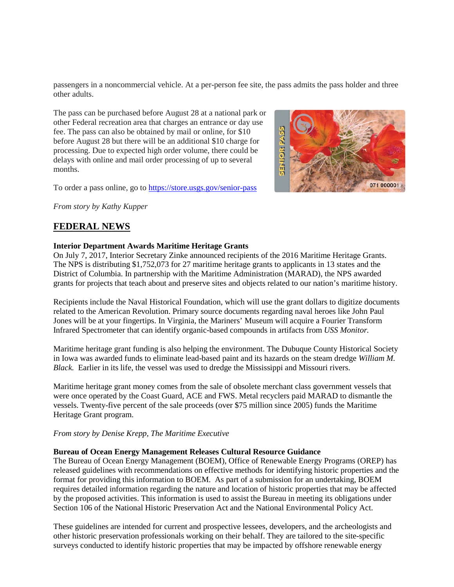passengers in a noncommercial vehicle. At a per-person fee site, the pass admits the pass holder and three other adults.

The pass can be purchased before August 28 at a national park or other Federal recreation area that charges an entrance or day use fee. The pass can also be obtained by mail or online, for \$10 before August 28 but there will be an additional \$10 charge for processing. Due to expected high order volume, there could be delays with online and mail order processing of up to several months.

To order a pass online, go to<https://store.usgs.gov/senior-pass>

*From story by Kathy Kupper*

# **FEDERAL NEWS**

## **Interior Department Awards Maritime Heritage Grants**

On July 7, 2017, Interior Secretary Zinke announced recipients of the 2016 Maritime Heritage Grants. The NPS is distributing \$1,752,073 for 27 maritime heritage grants to applicants in 13 states and the District of Columbia. In partnership with the Maritime Administration (MARAD), the NPS awarded grants for projects that teach about and preserve sites and objects related to our nation's maritime history.

Recipients include the Naval Historical Foundation, which will use the grant dollars to digitize documents related to the American Revolution. Primary source documents regarding naval heroes like John Paul Jones will be at your fingertips. In Virginia, the Mariners' Museum will acquire a Fourier Transform Infrared Spectrometer that can identify organic-based compounds in artifacts from *USS Monitor.*

Maritime heritage grant funding is also helping the environment. The Dubuque County Historical Society in Iowa was awarded funds to eliminate lead-based paint and its hazards on the steam dredge *William M. Black.* Earlier in its life, the vessel was used to dredge the Mississippi and Missouri rivers.

Maritime heritage grant money comes from the sale of obsolete merchant class government vessels that were once operated by the Coast Guard, ACE and FWS. Metal recyclers paid MARAD to dismantle the vessels. Twenty-five percent of the sale proceeds (over \$75 million since 2005) funds the Maritime Heritage Grant program.

#### *From story by Denise Krepp, The Maritime Executive*

#### **Bureau of Ocean Energy Management Releases Cultural Resource Guidance**

The Bureau of Ocean Energy Management (BOEM), Office of Renewable Energy Programs (OREP) has released guidelines with recommendations on effective methods for identifying historic properties and the format for providing this information to BOEM. As part of a submission for an undertaking, BOEM requires detailed information regarding the nature and location of historic properties that may be affected by the proposed activities. This information is used to assist the Bureau in meeting its obligations under Section 106 of the National Historic Preservation Act and the National Environmental Policy Act.

These guidelines are intended for current and prospective lessees, developers, and the archeologists and other historic preservation professionals working on their behalf. They are tailored to the site-specific surveys conducted to identify historic properties that may be impacted by offshore renewable energy

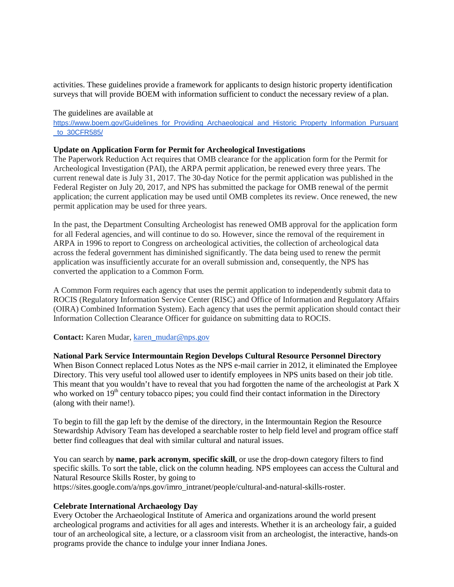activities. These guidelines provide a framework for applicants to design historic property identification surveys that will provide BOEM with information sufficient to conduct the necessary review of a plan.

#### The guidelines are available at

[https://www.boem.gov/Guidelines\\_for\\_Providing\\_Archaeological\\_and\\_Historic\\_Property\\_Information\\_Pursuant](https://www.boem.gov/Guidelines_for_Providing_Archaeological_and_Historic_Property_Information_Pursuant_to_30CFR585/) [\\_to\\_30CFR585/](https://www.boem.gov/Guidelines_for_Providing_Archaeological_and_Historic_Property_Information_Pursuant_to_30CFR585/)

#### **Update on Application Form for Permit for Archeological Investigations**

The Paperwork Reduction Act requires that OMB clearance for the application form for the Permit for Archeological Investigation (PAI), the ARPA permit application, be renewed every three years. The current renewal date is July 31, 2017. The 30-day Notice for the permit application was published in the Federal Register on July 20, 2017, and NPS has submitted the package for OMB renewal of the permit application; the current application may be used until OMB completes its review. Once renewed, the new permit application may be used for three years.

In the past, the Department Consulting Archeologist has renewed OMB approval for the application form for all Federal agencies, and will continue to do so. However, since the removal of the requirement in ARPA in 1996 to report to Congress on archeological activities, the collection of archeological data across the federal government has diminished significantly. The data being used to renew the permit application was insufficiently accurate for an overall submission and, consequently, the NPS has converted the application to a Common Form.

A Common Form requires each agency that uses the permit application to independently submit data to ROCIS (Regulatory Information Service Center (RISC) and Office of Information and Regulatory Affairs (OIRA) Combined Information System). Each agency that uses the permit application should contact their Information Collection Clearance Officer for guidance on submitting data to ROCIS.

#### **Contact:** Karen Mudar, [karen\\_mudar@nps.gov](mailto:karen_mudar@nps.gov)

**National Park Service Intermountain Region Develops Cultural Resource Personnel Directory**

When Bison Connect replaced Lotus Notes as the NPS e-mail carrier in 2012, it eliminated the Employee Directory. This very useful tool allowed user to identify employees in NPS units based on their job title. This meant that you wouldn't have to reveal that you had forgotten the name of the archeologist at Park X who worked on  $19<sup>th</sup>$  century tobacco pipes; you could find their contact information in the Directory (along with their name!).

To begin to fill the gap left by the demise of the directory, in the Intermountain Region the Resource Stewardship Advisory Team has developed a searchable roster to help field level and program office staff better find colleagues that deal with similar cultural and natural issues.

You can search by **name**, **park acronym**, **specific skill**, or use the drop-down category filters to find specific skills. To sort the table, click on the column heading. NPS employees can access the Cultural and Natural Resource Skills Roster, by going to https://sites.google.com/a/nps.gov/imro\_intranet/people/cultural-and-natural-skills-roster.

#### **Celebrate International Archaeology Day**

Every October the Archaeological Institute of America and organizations around the world present archeological programs and activities for all ages and interests. Whether it is an archeology fair, a guided tour of an archeological site, a lecture, or a classroom visit from an archeologist, the interactive, hands-on programs provide the chance to indulge your inner Indiana Jones.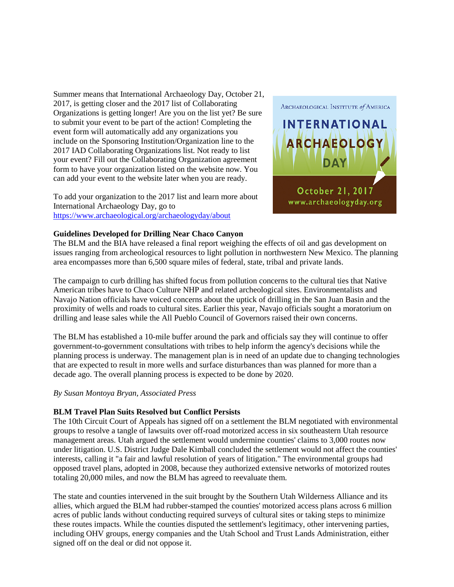Summer means that International Archaeology Day, October 21, 2017, is getting closer and the 2017 list of Collaborating Organizations is getting longer! Are you on the list yet? Be sure to submit your event to be part of the action! Completing the event form will automatically add any organizations you include on the Sponsoring Institution/Organization line to the 2017 IAD Collaborating Organizations list. Not ready to list your event? Fill out the Collaborating Organization agreement form to have your organization listed on the website now. You can add your event to the website later when you are ready.

To add your organization to the 2017 list and learn more about International Archaeology Day, go to <https://www.archaeological.org/archaeologyday/about>



## **Guidelines Developed for Drilling Near Chaco Canyon**

The BLM and the BIA have released a final report weighing the effects of oil and gas development on issues ranging from archeological resources to light pollution in northwestern New Mexico. The planning area encompasses more than 6,500 square miles of federal, state, tribal and private lands.

The campaign to curb drilling has shifted focus from pollution concerns to the cultural ties that Native American tribes have to Chaco Culture NHP and related archeological sites. Environmentalists and Navajo Nation officials have voiced concerns about the uptick of drilling in the San Juan Basin and the proximity of wells and roads to cultural sites. Earlier this year, Navajo officials sought a moratorium on drilling and lease sales while the All Pueblo Council of Governors raised their own concerns.

The BLM has established a 10-mile buffer around the park and officials say they will continue to offer government-to-government consultations with tribes to help inform the agency's decisions while the planning process is underway. The management plan is in need of an update due to changing technologies that are expected to result in more wells and surface disturbances than was planned for more than a decade ago. The overall planning process is expected to be done by 2020.

#### *By Susan Montoya Bryan, Associated Press*

## **BLM Travel Plan Suits Resolved but Conflict Persists**

The 10th Circuit Court of Appeals has signed off on a settlement the BLM negotiated with environmental groups to resolve a tangle of lawsuits over off-road motorized access in six southeastern Utah resource management areas. Utah argued the settlement would undermine counties' claims to 3,000 routes now under litigation. U.S. District Judge Dale Kimball concluded the settlement would not affect the counties' interests, calling it "a fair and lawful resolution of years of litigation." The environmental groups had opposed travel plans, adopted in 2008, because they authorized extensive networks of motorized routes totaling 20,000 miles, and now the BLM has agreed to reevaluate them.

The state and counties intervened in the suit brought by the Southern Utah Wilderness Alliance and its allies, which argued the BLM had rubber-stamped the counties' motorized access plans across 6 million acres of public lands without conducting required surveys of cultural sites or taking steps to minimize these routes impacts. While the counties disputed the settlement's legitimacy, other intervening parties, including OHV groups, energy companies and the Utah School and Trust Lands Administration, either signed off on the deal or did not oppose it.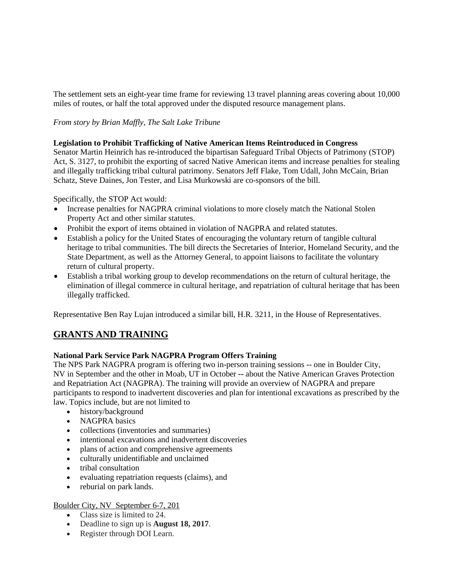The settlement sets an eight-year time frame for reviewing 13 travel planning areas covering about 10,000 miles of routes, or half the total approved under the disputed resource management plans.

## *From story by Brian Maffly, The Salt Lake Tribune*

## **Legislation to Prohibit Trafficking of Native American Items Reintroduced in Congress**

Senator Martin Heinrich has re-introduced the bipartisan Safeguard Tribal Objects of Patrimony (STOP) Act, S. 3127, to prohibit the exporting of sacred Native American items and increase penalties for stealing and illegally trafficking tribal cultural patrimony. Senators Jeff Flake, Tom Udall, John McCain, Brian Schatz, Steve Daines, Jon Tester, and Lisa Murkowski are co-sponsors of the bill.

Specifically, the STOP Act would:

- Increase penalties for NAGPRA criminal violations to more closely match the National Stolen Property Act and other similar statutes.
- Prohibit the export of items obtained in violation of NAGPRA and related statutes.
- Establish a policy for the United States of encouraging the voluntary return of tangible cultural heritage to tribal communities. The bill directs the Secretaries of Interior, Homeland Security, and the State Department, as well as the Attorney General, to appoint liaisons to facilitate the voluntary return of cultural property.
- Establish a tribal working group to develop recommendations on the return of cultural heritage, the elimination of illegal commerce in cultural heritage, and repatriation of cultural heritage that has been illegally trafficked.

Representative Ben Ray Lujan introduced a similar bill, H.R. 3211, in the House of Representatives.

# **GRANTS AND TRAINING**

## **National Park Service Park NAGPRA Program Offers Training**

The NPS Park NAGPRA program is offering two in-person training sessions -- one in Boulder City, NV in September and the other in Moab, UT in October **--** about the Native American Graves Protection and Repatriation Act (NAGPRA). The training will provide an overview of NAGPRA and prepare participants to respond to inadvertent discoveries and plan for intentional excavations as prescribed by the law. Topics include, but are not limited to

- history/background
- NAGPRA basics
- collections (inventories and summaries)
- intentional excavations and inadvertent discoveries
- plans of action and comprehensive agreements
- culturally unidentifiable and unclaimed
- tribal consultation
- evaluating repatriation requests (claims), and
- reburial on park lands.

## Boulder City, NV September 6-7, 201

- Class size is limited to 24.
- Deadline to sign up is **August 18, 2017**.
- Register through DOI Learn.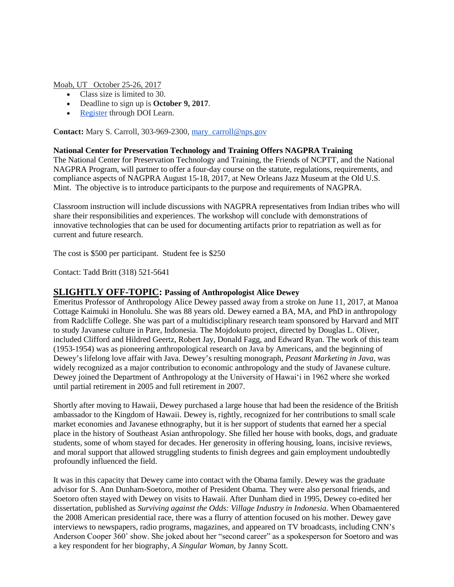Moab, UT October 25-26, 2017

- Class size is limited to 30.
- Deadline to sign up is **October 9, 2017**.
- [Register](https://gm2.geolearning.com/geonext/doi/scheduledclassdetails4enroll.geo?&id=310404) through DOI Learn.

**Contact:** Mary S. Carroll, 303-969-2300, [mary\\_carroll@nps.gov](https://mail.google.com/mail/?view=cm&fs=1&tf=1&to=mary_carroll@nps.gov)

## **National Center for Preservation Technology and Training Offers NAGPRA Training**

The National Center for Preservation Technology and Training, the Friends of NCPTT, and the National NAGPRA Program, will partner to offer a four-day course on the statute, regulations, requirements, and compliance aspects of NAGPRA August 15-18, 2017, at New Orleans Jazz Museum at the Old U.S. Mint. The objective is to introduce participants to the purpose and requirements of NAGPRA.

Classroom instruction will include discussions with NAGPRA representatives from Indian tribes who will share their responsibilities and experiences. The workshop will conclude with demonstrations of innovative technologies that can be used for documenting artifacts prior to repatriation as well as for current and future research.

The cost is \$500 per participant. Student fee is \$250

Contact: Tadd Britt (318) 521-5641

## **SLIGHTLY OFF-TOPIC: Passing of Anthropologist Alice Dewey**

Emeritus Professor of Anthropology Alice Dewey passed away from a stroke on June 11, 2017, at Manoa Cottage Kaimuki in Honolulu. She was 88 years old. Dewey earned a BA, MA, and PhD in anthropology from Radcliffe College. She was part of a multidisciplinary research team sponsored by Harvard and MIT to study Javanese culture in Pare, Indonesia. The Mojdokuto project, directed by Douglas L. Oliver, included Clifford and Hildred Geertz, Robert Jay, Donald Fagg, and Edward Ryan. The work of this team (1953-1954) was as pioneering anthropological research on Java by Americans, and the beginning of Dewey's lifelong love affair with Java. Dewey's resulting monograph, *Peasant Marketing in Java*, was widely recognized as a major contribution to economic anthropology and the study of Javanese culture. Dewey joined the Department of Anthropology at the University of Hawaiʻi in 1962 where she worked until partial retirement in 2005 and full retirement in 2007.

Shortly after moving to Hawaii, Dewey purchased a large house that had been the residence of the British ambassador to the Kingdom of Hawaii. Dewey is, rightly, recognized for her contributions to small scale market economies and Javanese ethnography, but it is her support of students that earned her a special place in the history of Southeast Asian anthropology. She filled her house with books, dogs, and graduate students, some of whom stayed for decades. Her generosity in offering housing, loans, incisive reviews, and moral support that allowed struggling students to finish degrees and gain employment undoubtedly profoundly influenced the field.

It was in this capacity that Dewey came into contact with the Obama family. Dewey was the graduate advisor for S. Ann Dunham-Soetoro, mother of President Obama. They were also personal friends, and Soetoro often stayed with Dewey on visits to Hawaii. After Dunham died in 1995, Dewey co-edited her dissertation, published as *Surviving against the Odds: Village Industry in Indonesia*. When Obamaentered the 2008 American presidential race, there was a flurry of attention focused on his mother. Dewey gave interviews to newspapers, radio programs, magazines, and appeared on TV broadcasts, including CNN's Anderson Cooper 360° show. She joked about her "second career" as a spokesperson for Soetoro and was a key respondent for her biography, *A Singular Woman*, by Janny Scott.